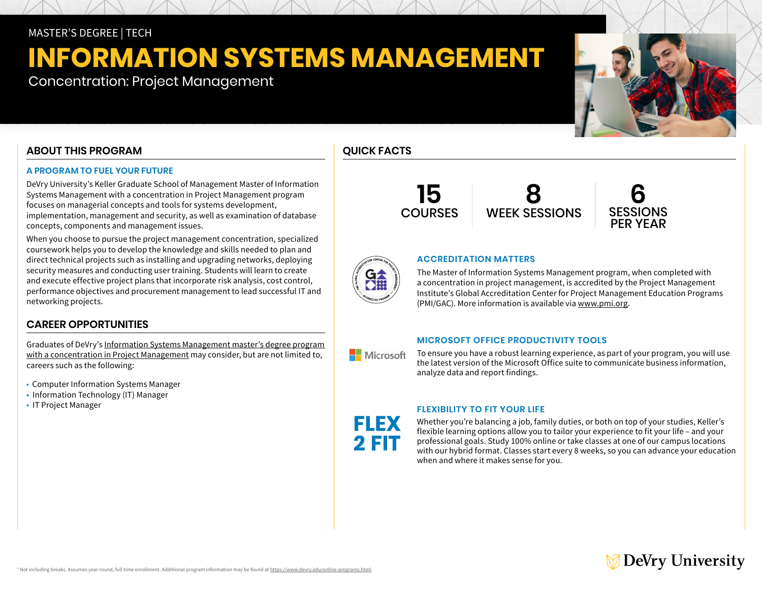# MASTER'S DEGREE | TECH

# **INFORMATION SYSTEMS MANAGEMENT**

Concentration: Project Management

# **ABOUT THIS PROGRAM**

# **A PROGRAM TO FUEL YOUR FUTURE**

DeVry University's Keller Graduate School of Management Master of Information Systems Management with a concentration in Project Management program focuses on managerial concepts and tools for systems development, implementation, management and security, as well as examination of database concepts, components and management issues.

When you choose to pursue the project management concentration, specialized coursework helps you to develop the knowledge and skills needed to plan and direct technical projects such as installing and upgrading networks, deploying security measures and conducting user training. Students will learn to create and execute effective project plans that incorporate risk analysis, cost control, performance objectives and procurement management to lead successful IT and networking projects.

# **CAREER OPPORTUNITIES**

Graduates of DeVry's [Information Systems Management master's degree program](https://www.devry.edu/online-programs/masters-degrees/information-systems-management.html)  [with a concentration in Project Management](https://www.devry.edu/online-programs/masters-degrees/information-systems-management.html) may consider, but are not limited to, careers such as the following:

- Computer Information Systems Manager
- Information Technology (IT) Manager
- IT Project Manager

# **QUICK FACTS**

**15 COURSES** 

**8** WEEK SESSIONS



# **ACCREDITATION MATTERS**

The Master of Information Systems Management program, when completed with a concentration in project management, is accredited by the Project Management Institute's Global Accreditation Center for Project Management Education Programs (PMI/GAC). More information is available via [www.pmi.org.](https://www.pmi.org)

# **MICROSOFT OFFICE PRODUCTIVITY TOOLS**

To ensure you have a robust learning experience, as part of your program, you will use the latest version of the Microsoft Office suite to communicate business information, analyze data and report findings.

# **FLEXIBILITY TO FIT YOUR LIFE**

FLEX 2 FIT

Whether you're balancing a job, family duties, or both on top of your studies, Keller's flexible learning options allow you to tailor your experience to fit your life – and your professional goals. Study 100% online or take classes at one of our campus locations with our hybrid format. Classes start every 8 weeks, so you can advance your education when and where it makes sense for you.







**Nicrosoft**